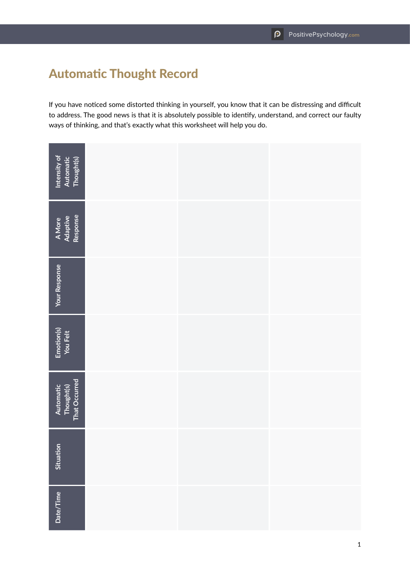## Automatic Thought Record

If you have noticed some distorted thinking in yourself, you know that it can be distressing and difficult to address. The good news is that it is absolutely possible to identify, understand, and correct our faulty ways of thinking, and that's exactly what this worksheet will help you do.